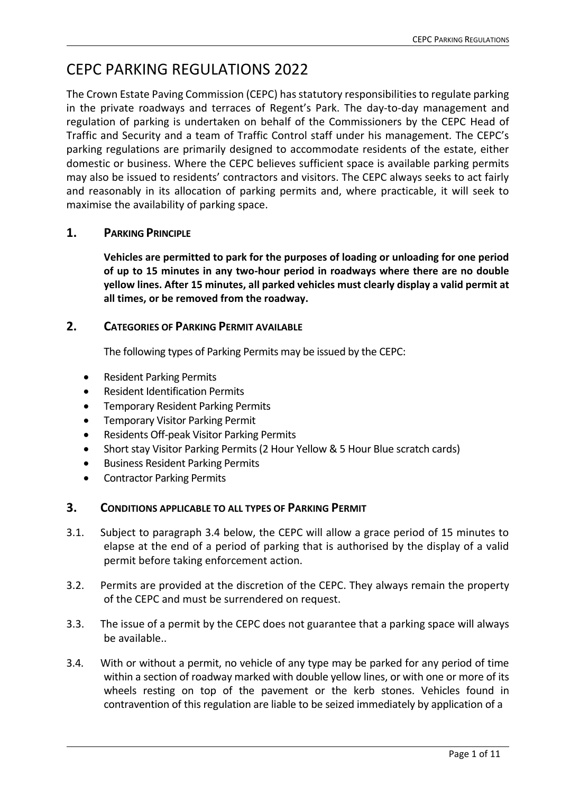# CEPC PARKING REGULATIONS 2022

The Crown Estate Paving Commission (CEPC) has statutory responsibilities to regulate parking in the private roadways and terraces of Regent's Park. The day-to-day management and regulation of parking is undertaken on behalf of the Commissioners by the CEPC Head of Traffic and Security and a team of Traffic Control staff under his management. The CEPC's parking regulations are primarily designed to accommodate residents of the estate, either domestic or business. Where the CEPC believes sufficient space is available parking permits may also be issued to residents' contractors and visitors. The CEPC always seeks to act fairly and reasonably in its allocation of parking permits and, where practicable, it will seek to maximise the availability of parking space.

# **1. PARKING PRINCIPLE**

**Vehicles are permitted to park for the purposes of loading or unloading for one period of up to 15 minutes in any two-hour period in roadways where there are no double yellow lines. After 15 minutes, all parked vehicles must clearly display a valid permit at all times, or be removed from the roadway.**

# **2. CATEGORIES OF PARKING PERMIT AVAILABLE**

The following types of Parking Permits may be issued by the CEPC:

- Resident Parking Permits
- Resident Identification Permits
- Temporary Resident Parking Permits
- Temporary Visitor Parking Permit
- Residents Off-peak Visitor Parking Permits
- Short stay Visitor Parking Permits (2 Hour Yellow & 5 Hour Blue scratch cards)
- Business Resident Parking Permits
- Contractor Parking Permits

# **3. CONDITIONS APPLICABLE TO ALL TYPES OF PARKING PERMIT**

- 3.1. Subject to paragraph 3.4 below, the CEPC will allow a grace period of 15 minutes to elapse at the end of a period of parking that is authorised by the display of a valid permit before taking enforcement action.
- 3.2. Permits are provided at the discretion of the CEPC. They always remain the property of the CEPC and must be surrendered on request.
- 3.3. The issue of a permit by the CEPC does not guarantee that a parking space will always be available..
- 3.4. With or without a permit, no vehicle of any type may be parked for any period of time within a section of roadway marked with double yellow lines, or with one or more of its wheels resting on top of the pavement or the kerb stones. Vehicles found in contravention of this regulation are liable to be seized immediately by application of a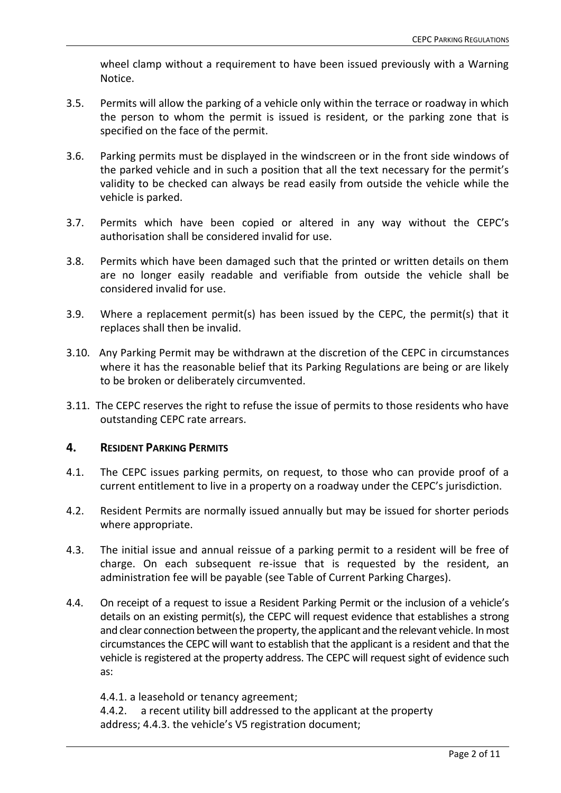wheel clamp without a requirement to have been issued previously with a Warning Notice.

- 3.5. Permits will allow the parking of a vehicle only within the terrace or roadway in which the person to whom the permit is issued is resident, or the parking zone that is specified on the face of the permit.
- 3.6. Parking permits must be displayed in the windscreen or in the front side windows of the parked vehicle and in such a position that all the text necessary for the permit's validity to be checked can always be read easily from outside the vehicle while the vehicle is parked.
- 3.7. Permits which have been copied or altered in any way without the CEPC's authorisation shall be considered invalid for use.
- 3.8. Permits which have been damaged such that the printed or written details on them are no longer easily readable and verifiable from outside the vehicle shall be considered invalid for use.
- 3.9. Where a replacement permit(s) has been issued by the CEPC, the permit(s) that it replaces shall then be invalid.
- 3.10. Any Parking Permit may be withdrawn at the discretion of the CEPC in circumstances where it has the reasonable belief that its Parking Regulations are being or are likely to be broken or deliberately circumvented.
- 3.11. The CEPC reserves the right to refuse the issue of permits to those residents who have outstanding CEPC rate arrears.

#### **4. RESIDENT PARKING PERMITS**

- 4.1. The CEPC issues parking permits, on request, to those who can provide proof of a current entitlement to live in a property on a roadway under the CEPC's jurisdiction.
- 4.2. Resident Permits are normally issued annually but may be issued for shorter periods where appropriate.
- 4.3. The initial issue and annual reissue of a parking permit to a resident will be free of charge. On each subsequent re-issue that is requested by the resident, an administration fee will be payable (see Table of Current Parking Charges).
- 4.4. On receipt of a request to issue a Resident Parking Permit or the inclusion of a vehicle's details on an existing permit(s), the CEPC will request evidence that establishes a strong and clear connection between the property, the applicant and the relevant vehicle. In most circumstances the CEPC will want to establish that the applicant is a resident and that the vehicle is registered at the property address. The CEPC will request sight of evidence such as:

4.4.1. a leasehold or tenancy agreement; 4.4.2. a recent utility bill addressed to the applicant at the property address; 4.4.3. the vehicle's V5 registration document;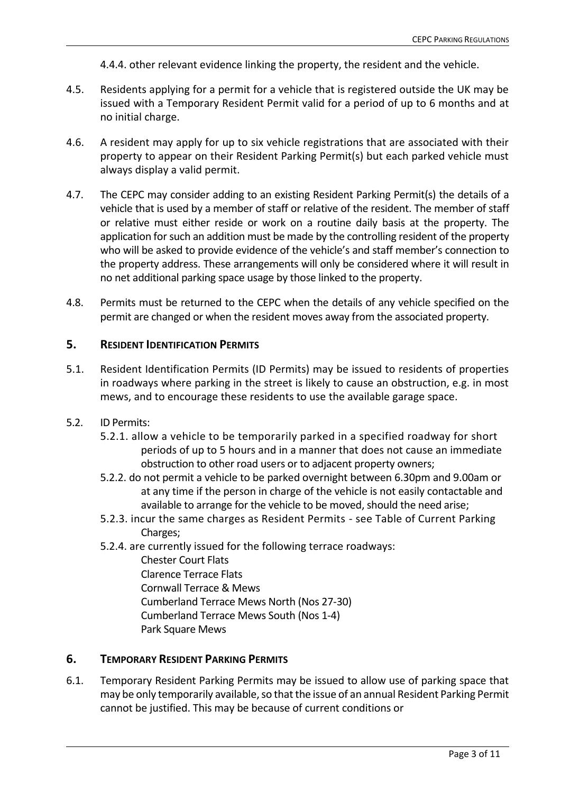4.4.4. other relevant evidence linking the property, the resident and the vehicle.

- 4.5. Residents applying for a permit for a vehicle that is registered outside the UK may be issued with a Temporary Resident Permit valid for a period of up to 6 months and at no initial charge.
- 4.6. A resident may apply for up to six vehicle registrations that are associated with their property to appear on their Resident Parking Permit(s) but each parked vehicle must always display a valid permit.
- 4.7. The CEPC may consider adding to an existing Resident Parking Permit(s) the details of a vehicle that is used by a member of staff or relative of the resident. The member of staff or relative must either reside or work on a routine daily basis at the property. The application for such an addition must be made by the controlling resident of the property who will be asked to provide evidence of the vehicle's and staff member's connection to the property address. These arrangements will only be considered where it will result in no net additional parking space usage by those linked to the property.
- 4.8. Permits must be returned to the CEPC when the details of any vehicle specified on the permit are changed or when the resident moves away from the associated property.

# **5. RESIDENT IDENTIFICATION PERMITS**

- 5.1. Resident Identification Permits (ID Permits) may be issued to residents of properties in roadways where parking in the street is likely to cause an obstruction, e.g. in most mews, and to encourage these residents to use the available garage space.
- 5.2. ID Permits:
	- 5.2.1. allow a vehicle to be temporarily parked in a specified roadway for short periods of up to 5 hours and in a manner that does not cause an immediate obstruction to other road users or to adjacent property owners;
	- 5.2.2. do not permit a vehicle to be parked overnight between 6.30pm and 9.00am or at any time if the person in charge of the vehicle is not easily contactable and available to arrange for the vehicle to be moved, should the need arise;
	- 5.2.3. incur the same charges as Resident Permits see Table of Current Parking Charges;
	- 5.2.4. are currently issued for the following terrace roadways:
		- Chester Court Flats Clarence Terrace Flats Cornwall Terrace & Mews Cumberland Terrace Mews North (Nos 27-30) Cumberland Terrace Mews South (Nos 1-4) Park Square Mews

#### **6. TEMPORARY RESIDENT PARKING PERMITS**

6.1. Temporary Resident Parking Permits may be issued to allow use of parking space that may be only temporarily available, so that the issue of an annual Resident Parking Permit cannot be justified. This may be because of current conditions or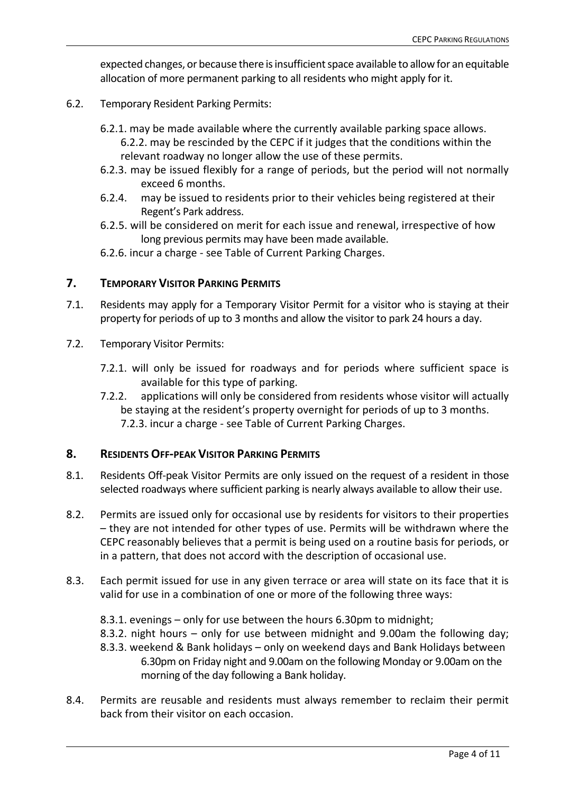expected changes, or because there is insufficient space available to allow for an equitable allocation of more permanent parking to all residents who might apply for it.

- 6.2. Temporary Resident Parking Permits:
	- 6.2.1. may be made available where the currently available parking space allows. 6.2.2. may be rescinded by the CEPC if it judges that the conditions within the relevant roadway no longer allow the use of these permits.
	- 6.2.3. may be issued flexibly for a range of periods, but the period will not normally exceed 6 months.
	- 6.2.4. may be issued to residents prior to their vehicles being registered at their Regent's Park address.
	- 6.2.5. will be considered on merit for each issue and renewal, irrespective of how long previous permits may have been made available.
	- 6.2.6. incur a charge see Table of Current Parking Charges.

#### **7. TEMPORARY VISITOR PARKING PERMITS**

- 7.1. Residents may apply for a Temporary Visitor Permit for a visitor who is staying at their property for periods of up to 3 months and allow the visitor to park 24 hours a day.
- 7.2. Temporary Visitor Permits:
	- 7.2.1. will only be issued for roadways and for periods where sufficient space is available for this type of parking.
	- 7.2.2. applications will only be considered from residents whose visitor will actually be staying at the resident's property overnight for periods of up to 3 months. 7.2.3. incur a charge - see Table of Current Parking Charges.

#### **8. RESIDENTS OFF-PEAK VISITOR PARKING PERMITS**

- 8.1. Residents Off-peak Visitor Permits are only issued on the request of a resident in those selected roadways where sufficient parking is nearly always available to allow their use.
- 8.2. Permits are issued only for occasional use by residents for visitors to their properties – they are not intended for other types of use. Permits will be withdrawn where the CEPC reasonably believes that a permit is being used on a routine basis for periods, or in a pattern, that does not accord with the description of occasional use.
- 8.3. Each permit issued for use in any given terrace or area will state on its face that it is valid for use in a combination of one or more of the following three ways:
	- 8.3.1. evenings only for use between the hours 6.30pm to midnight;
	- 8.3.2. night hours only for use between midnight and 9.00am the following day;
	- 8.3.3. weekend & Bank holidays only on weekend days and Bank Holidays between 6.30pm on Friday night and 9.00am on the following Monday or 9.00am on the morning of the day following a Bank holiday.
- 8.4. Permits are reusable and residents must always remember to reclaim their permit back from their visitor on each occasion.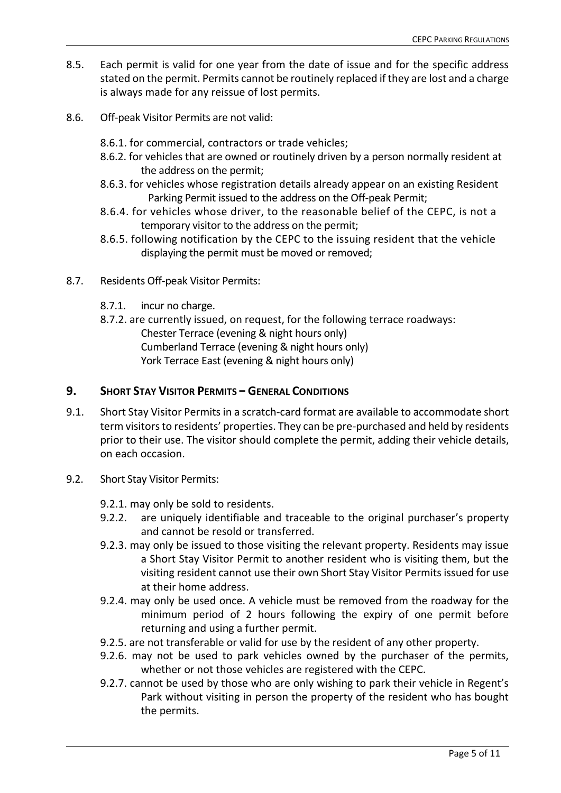- 8.5. Each permit is valid for one year from the date of issue and for the specific address stated on the permit. Permits cannot be routinely replaced if they are lost and a charge is always made for any reissue of lost permits.
- 8.6. Off-peak Visitor Permits are not valid:
	- 8.6.1. for commercial, contractors or trade vehicles;
	- 8.6.2. for vehicles that are owned or routinely driven by a person normally resident at the address on the permit;
	- 8.6.3. for vehicles whose registration details already appear on an existing Resident Parking Permit issued to the address on the Off-peak Permit;
	- 8.6.4. for vehicles whose driver, to the reasonable belief of the CEPC, is not a temporary visitor to the address on the permit;
	- 8.6.5. following notification by the CEPC to the issuing resident that the vehicle displaying the permit must be moved or removed;
- 8.7. Residents Off-peak Visitor Permits:
	- 8.7.1. incur no charge.
	- 8.7.2. are currently issued, on request, for the following terrace roadways: Chester Terrace (evening & night hours only) Cumberland Terrace (evening & night hours only) York Terrace East (evening & night hours only)

# **9. SHORT STAY VISITOR PERMITS – GENERAL CONDITIONS**

- 9.1. Short Stay Visitor Permits in a scratch-card format are available to accommodate short term visitors to residents' properties. They can be pre-purchased and held by residents prior to their use. The visitor should complete the permit, adding their vehicle details, on each occasion.
- 9.2. Short Stay Visitor Permits:
	- 9.2.1. may only be sold to residents.
	- 9.2.2. are uniquely identifiable and traceable to the original purchaser's property and cannot be resold or transferred.
	- 9.2.3. may only be issued to those visiting the relevant property. Residents may issue a Short Stay Visitor Permit to another resident who is visiting them, but the visiting resident cannot use their own Short Stay Visitor Permits issued for use at their home address.
	- 9.2.4. may only be used once. A vehicle must be removed from the roadway for the minimum period of 2 hours following the expiry of one permit before returning and using a further permit.
	- 9.2.5. are not transferable or valid for use by the resident of any other property.
	- 9.2.6. may not be used to park vehicles owned by the purchaser of the permits, whether or not those vehicles are registered with the CEPC.
	- 9.2.7. cannot be used by those who are only wishing to park their vehicle in Regent's Park without visiting in person the property of the resident who has bought the permits.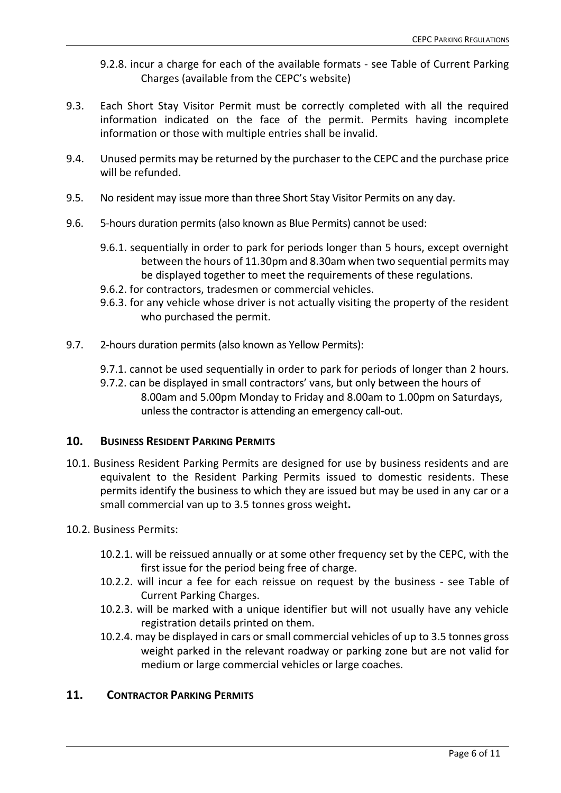9.2.8. incur a charge for each of the available formats - see Table of Current Parking Charges (available from the CEPC's website)

- 9.3. Each Short Stay Visitor Permit must be correctly completed with all the required information indicated on the face of the permit. Permits having incomplete information or those with multiple entries shall be invalid.
- 9.4. Unused permits may be returned by the purchaser to the CEPC and the purchase price will be refunded.
- 9.5. No resident may issue more than three Short Stay Visitor Permits on any day.
- 9.6. 5-hours duration permits (also known as Blue Permits) cannot be used:
	- 9.6.1. sequentially in order to park for periods longer than 5 hours, except overnight between the hours of 11.30pm and 8.30am when two sequential permits may be displayed together to meet the requirements of these regulations.
	- 9.6.2. for contractors, tradesmen or commercial vehicles.
	- 9.6.3. for any vehicle whose driver is not actually visiting the property of the resident who purchased the permit.
- 9.7. 2-hours duration permits (also known as Yellow Permits):
	- 9.7.1. cannot be used sequentially in order to park for periods of longer than 2 hours.
	- 9.7.2. can be displayed in small contractors' vans, but only between the hours of 8.00am and 5.00pm Monday to Friday and 8.00am to 1.00pm on Saturdays, unless the contractor is attending an emergency call-out.

#### **10. BUSINESS RESIDENT PARKING PERMITS**

- 10.1. Business Resident Parking Permits are designed for use by business residents and are equivalent to the Resident Parking Permits issued to domestic residents. These permits identify the business to which they are issued but may be used in any car or a small commercial van up to 3.5 tonnes gross weight**.**
- 10.2. Business Permits:
	- 10.2.1. will be reissued annually or at some other frequency set by the CEPC, with the first issue for the period being free of charge.
	- 10.2.2. will incur a fee for each reissue on request by the business see Table of Current Parking Charges.
	- 10.2.3. will be marked with a unique identifier but will not usually have any vehicle registration details printed on them.
	- 10.2.4. may be displayed in cars or small commercial vehicles of up to 3.5 tonnes gross weight parked in the relevant roadway or parking zone but are not valid for medium or large commercial vehicles or large coaches.

#### **11. CONTRACTOR PARKING PERMITS**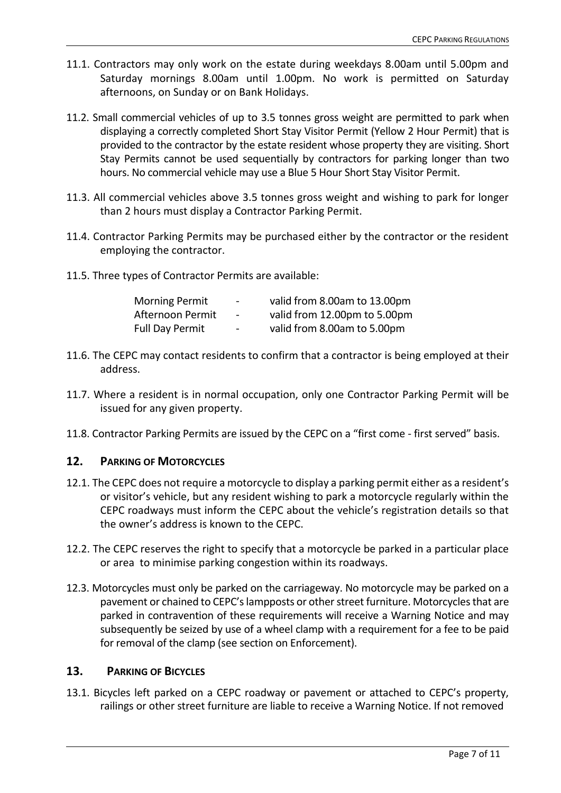- 11.1. Contractors may only work on the estate during weekdays 8.00am until 5.00pm and Saturday mornings 8.00am until 1.00pm. No work is permitted on Saturday afternoons, on Sunday or on Bank Holidays.
- 11.2. Small commercial vehicles of up to 3.5 tonnes gross weight are permitted to park when displaying a correctly completed Short Stay Visitor Permit (Yellow 2 Hour Permit) that is provided to the contractor by the estate resident whose property they are visiting. Short Stay Permits cannot be used sequentially by contractors for parking longer than two hours. No commercial vehicle may use a Blue 5 Hour Short Stay Visitor Permit.
- 11.3. All commercial vehicles above 3.5 tonnes gross weight and wishing to park for longer than 2 hours must display a Contractor Parking Permit.
- 11.4. Contractor Parking Permits may be purchased either by the contractor or the resident employing the contractor.
- 11.5. Three types of Contractor Permits are available:

| <b>Morning Permit</b>  | $\overline{\phantom{a}}$ | valid from 8.00am to 13.00pm |
|------------------------|--------------------------|------------------------------|
| Afternoon Permit       | $\overline{\phantom{a}}$ | valid from 12.00pm to 5.00pm |
| <b>Full Day Permit</b> | $\overline{\phantom{0}}$ | valid from 8.00am to 5.00pm  |

- 11.6. The CEPC may contact residents to confirm that a contractor is being employed at their address.
- 11.7. Where a resident is in normal occupation, only one Contractor Parking Permit will be issued for any given property.
- 11.8. Contractor Parking Permits are issued by the CEPC on a "first come first served" basis.

# **12. PARKING OF MOTORCYCLES**

- 12.1. The CEPC does not require a motorcycle to display a parking permit either as a resident's or visitor's vehicle, but any resident wishing to park a motorcycle regularly within the CEPC roadways must inform the CEPC about the vehicle's registration details so that the owner's address is known to the CEPC.
- 12.2. The CEPC reserves the right to specify that a motorcycle be parked in a particular place or area to minimise parking congestion within its roadways.
- 12.3. Motorcycles must only be parked on the carriageway. No motorcycle may be parked on a pavement or chained to CEPC's lampposts or other street furniture. Motorcycles that are parked in contravention of these requirements will receive a Warning Notice and may subsequently be seized by use of a wheel clamp with a requirement for a fee to be paid for removal of the clamp (see section on Enforcement).

# **13. PARKING OF BICYCLES**

13.1. Bicycles left parked on a CEPC roadway or pavement or attached to CEPC's property, railings or other street furniture are liable to receive a Warning Notice. If not removed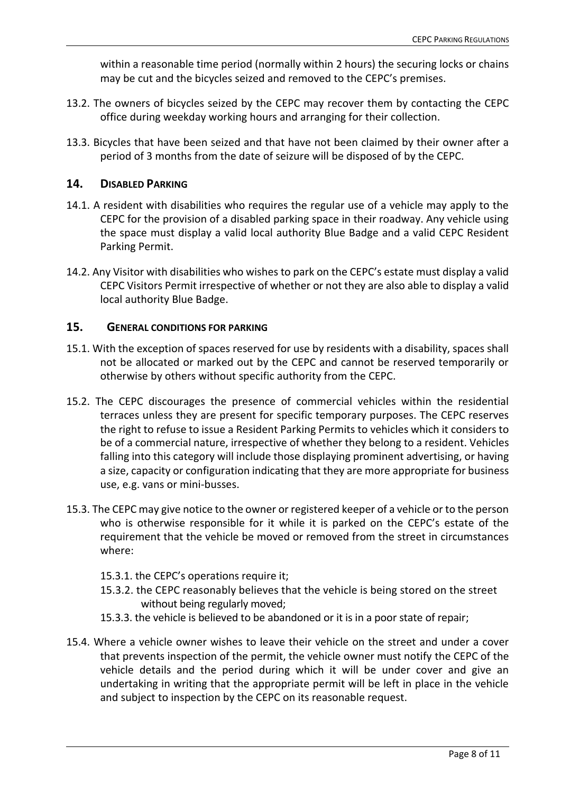within a reasonable time period (normally within 2 hours) the securing locks or chains may be cut and the bicycles seized and removed to the CEPC's premises.

- 13.2. The owners of bicycles seized by the CEPC may recover them by contacting the CEPC office during weekday working hours and arranging for their collection.
- 13.3. Bicycles that have been seized and that have not been claimed by their owner after a period of 3 months from the date of seizure will be disposed of by the CEPC.

# **14. DISABLED PARKING**

- 14.1. A resident with disabilities who requires the regular use of a vehicle may apply to the CEPC for the provision of a disabled parking space in their roadway. Any vehicle using the space must display a valid local authority Blue Badge and a valid CEPC Resident Parking Permit.
- 14.2. Any Visitor with disabilities who wishes to park on the CEPC's estate must display a valid CEPC Visitors Permit irrespective of whether or not they are also able to display a valid local authority Blue Badge.

# **15. GENERAL CONDITIONS FOR PARKING**

- 15.1. With the exception of spaces reserved for use by residents with a disability, spaces shall not be allocated or marked out by the CEPC and cannot be reserved temporarily or otherwise by others without specific authority from the CEPC.
- 15.2. The CEPC discourages the presence of commercial vehicles within the residential terraces unless they are present for specific temporary purposes. The CEPC reserves the right to refuse to issue a Resident Parking Permits to vehicles which it considers to be of a commercial nature, irrespective of whether they belong to a resident. Vehicles falling into this category will include those displaying prominent advertising, or having a size, capacity or configuration indicating that they are more appropriate for business use, e.g. vans or mini-busses.
- 15.3. The CEPC may give notice to the owner or registered keeper of a vehicle or to the person who is otherwise responsible for it while it is parked on the CEPC's estate of the requirement that the vehicle be moved or removed from the street in circumstances where:
	- 15.3.1. the CEPC's operations require it;
	- 15.3.2. the CEPC reasonably believes that the vehicle is being stored on the street without being regularly moved;
	- 15.3.3. the vehicle is believed to be abandoned or it is in a poor state of repair;
- 15.4. Where a vehicle owner wishes to leave their vehicle on the street and under a cover that prevents inspection of the permit, the vehicle owner must notify the CEPC of the vehicle details and the period during which it will be under cover and give an undertaking in writing that the appropriate permit will be left in place in the vehicle and subject to inspection by the CEPC on its reasonable request.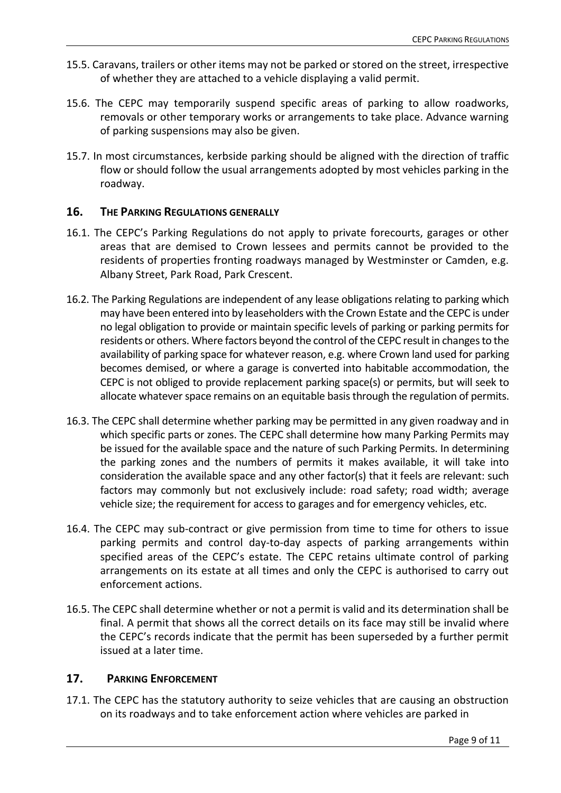- 15.5. Caravans, trailers or other items may not be parked or stored on the street, irrespective of whether they are attached to a vehicle displaying a valid permit.
- 15.6. The CEPC may temporarily suspend specific areas of parking to allow roadworks, removals or other temporary works or arrangements to take place. Advance warning of parking suspensions may also be given.
- 15.7. In most circumstances, kerbside parking should be aligned with the direction of traffic flow or should follow the usual arrangements adopted by most vehicles parking in the roadway.

# **16. THE PARKING REGULATIONS GENERALLY**

- 16.1. The CEPC's Parking Regulations do not apply to private forecourts, garages or other areas that are demised to Crown lessees and permits cannot be provided to the residents of properties fronting roadways managed by Westminster or Camden, e.g. Albany Street, Park Road, Park Crescent.
- 16.2. The Parking Regulations are independent of any lease obligations relating to parking which may have been entered into by leaseholders with the Crown Estate and the CEPC is under no legal obligation to provide or maintain specific levels of parking or parking permits for residents or others. Where factors beyond the control of the CEPC result in changes to the availability of parking space for whatever reason, e.g. where Crown land used for parking becomes demised, or where a garage is converted into habitable accommodation, the CEPC is not obliged to provide replacement parking space(s) or permits, but will seek to allocate whatever space remains on an equitable basis through the regulation of permits.
- 16.3. The CEPC shall determine whether parking may be permitted in any given roadway and in which specific parts or zones. The CEPC shall determine how many Parking Permits may be issued for the available space and the nature of such Parking Permits. In determining the parking zones and the numbers of permits it makes available, it will take into consideration the available space and any other factor(s) that it feels are relevant: such factors may commonly but not exclusively include: road safety; road width; average vehicle size; the requirement for access to garages and for emergency vehicles, etc.
- 16.4. The CEPC may sub-contract or give permission from time to time for others to issue parking permits and control day-to-day aspects of parking arrangements within specified areas of the CEPC's estate. The CEPC retains ultimate control of parking arrangements on its estate at all times and only the CEPC is authorised to carry out enforcement actions.
- 16.5. The CEPC shall determine whether or not a permit is valid and its determination shall be final. A permit that shows all the correct details on its face may still be invalid where the CEPC's records indicate that the permit has been superseded by a further permit issued at a later time.

## **17. PARKING ENFORCEMENT**

17.1. The CEPC has the statutory authority to seize vehicles that are causing an obstruction on its roadways and to take enforcement action where vehicles are parked in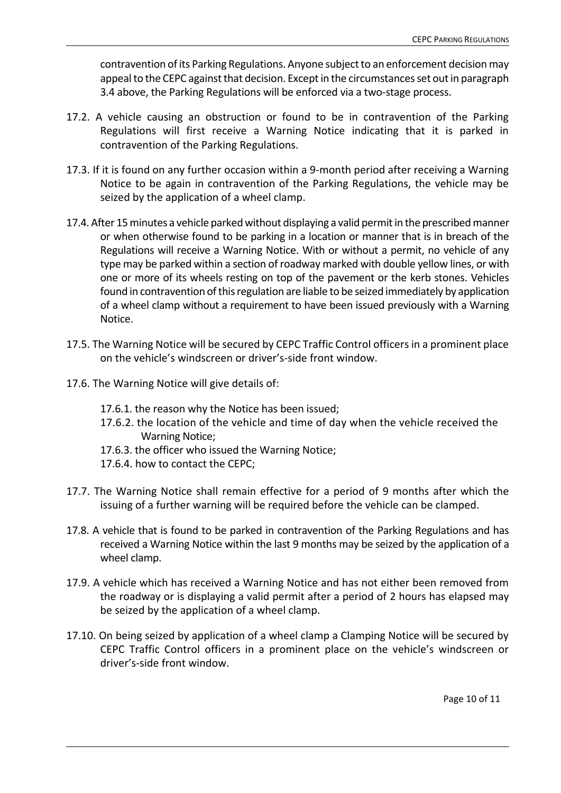contravention of its Parking Regulations. Anyone subject to an enforcement decision may appeal to the CEPC against that decision. Except in the circumstances set out in paragraph 3.4 above, the Parking Regulations will be enforced via a two-stage process.

- 17.2. A vehicle causing an obstruction or found to be in contravention of the Parking Regulations will first receive a Warning Notice indicating that it is parked in contravention of the Parking Regulations.
- 17.3. If it is found on any further occasion within a 9-month period after receiving a Warning Notice to be again in contravention of the Parking Regulations, the vehicle may be seized by the application of a wheel clamp.
- 17.4. After 15 minutes a vehicle parked without displaying a valid permit in the prescribed manner or when otherwise found to be parking in a location or manner that is in breach of the Regulations will receive a Warning Notice. With or without a permit, no vehicle of any type may be parked within a section of roadway marked with double yellow lines, or with one or more of its wheels resting on top of the pavement or the kerb stones. Vehicles found in contravention of this regulation are liable to be seized immediately by application of a wheel clamp without a requirement to have been issued previously with a Warning Notice.
- 17.5. The Warning Notice will be secured by CEPC Traffic Control officers in a prominent place on the vehicle's windscreen or driver's-side front window.
- 17.6. The Warning Notice will give details of:
	- 17.6.1. the reason why the Notice has been issued;
	- 17.6.2. the location of the vehicle and time of day when the vehicle received the Warning Notice;
	- 17.6.3. the officer who issued the Warning Notice;
	- 17.6.4. how to contact the CEPC;
- 17.7. The Warning Notice shall remain effective for a period of 9 months after which the issuing of a further warning will be required before the vehicle can be clamped.
- 17.8. A vehicle that is found to be parked in contravention of the Parking Regulations and has received a Warning Notice within the last 9 months may be seized by the application of a wheel clamp.
- 17.9. A vehicle which has received a Warning Notice and has not either been removed from the roadway or is displaying a valid permit after a period of 2 hours has elapsed may be seized by the application of a wheel clamp.
- 17.10. On being seized by application of a wheel clamp a Clamping Notice will be secured by CEPC Traffic Control officers in a prominent place on the vehicle's windscreen or driver's-side front window.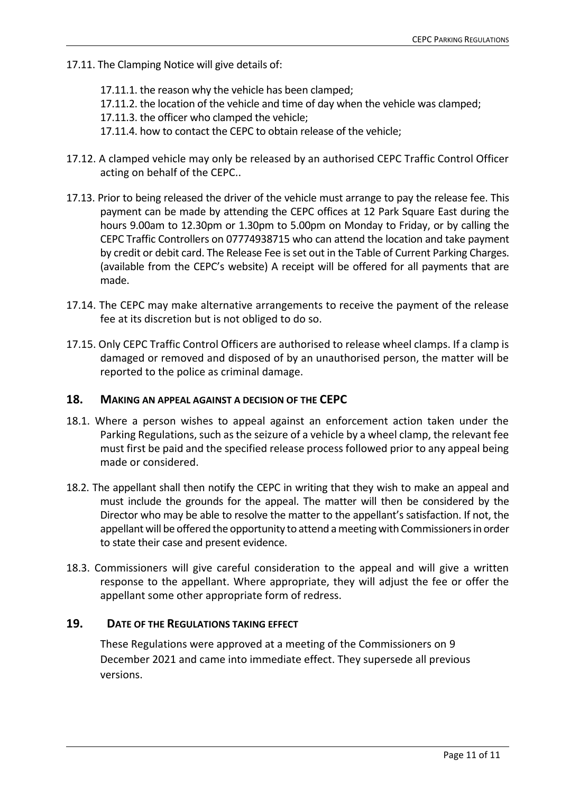- 17.11. The Clamping Notice will give details of:
	- 17.11.1. the reason why the vehicle has been clamped;
	- 17.11.2. the location of the vehicle and time of day when the vehicle was clamped;
	- 17.11.3. the officer who clamped the vehicle;
	- 17.11.4. how to contact the CEPC to obtain release of the vehicle;
- 17.12. A clamped vehicle may only be released by an authorised CEPC Traffic Control Officer acting on behalf of the CEPC..
- 17.13. Prior to being released the driver of the vehicle must arrange to pay the release fee. This payment can be made by attending the CEPC offices at 12 Park Square East during the hours 9.00am to 12.30pm or 1.30pm to 5.00pm on Monday to Friday, or by calling the CEPC Traffic Controllers on 07774938715 who can attend the location and take payment by credit or debit card. The Release Fee is set out in the Table of Current Parking Charges. (available from the CEPC's website) A receipt will be offered for all payments that are made.
- 17.14. The CEPC may make alternative arrangements to receive the payment of the release fee at its discretion but is not obliged to do so.
- 17.15. Only CEPC Traffic Control Officers are authorised to release wheel clamps. If a clamp is damaged or removed and disposed of by an unauthorised person, the matter will be reported to the police as criminal damage.

# **18. MAKING AN APPEAL AGAINST A DECISION OF THE CEPC**

- 18.1. Where a person wishes to appeal against an enforcement action taken under the Parking Regulations, such as the seizure of a vehicle by a wheel clamp, the relevant fee must first be paid and the specified release process followed prior to any appeal being made or considered.
- 18.2. The appellant shall then notify the CEPC in writing that they wish to make an appeal and must include the grounds for the appeal. The matter will then be considered by the Director who may be able to resolve the matter to the appellant's satisfaction. If not, the appellant will be offered the opportunity to attend ameeting with Commissioners in order to state their case and present evidence.
- 18.3. Commissioners will give careful consideration to the appeal and will give a written response to the appellant. Where appropriate, they will adjust the fee or offer the appellant some other appropriate form of redress.

# **19. DATE OF THE REGULATIONS TAKING EFFECT**

These Regulations were approved at a meeting of the Commissioners on 9 December 2021 and came into immediate effect. They supersede all previous versions.